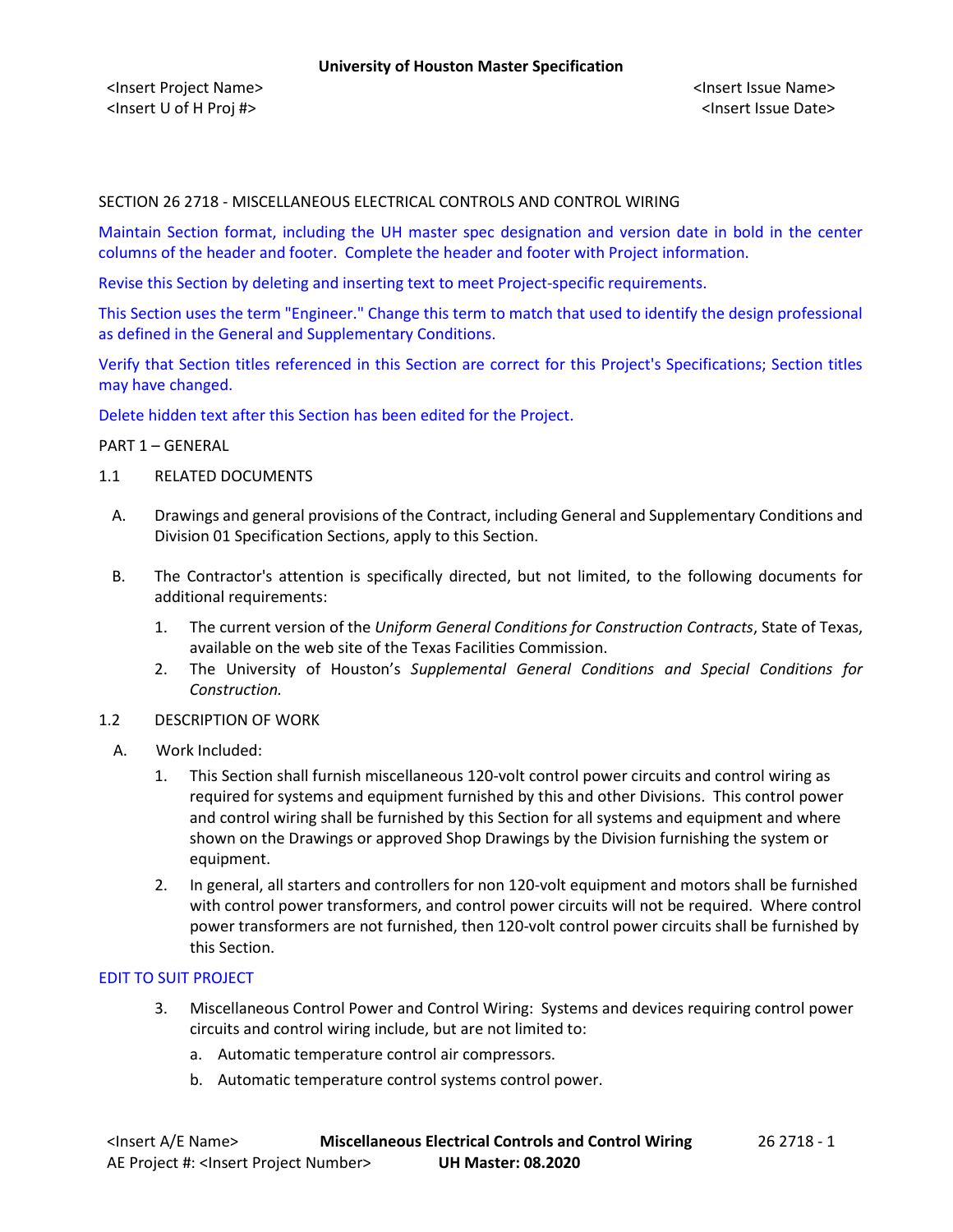<Insert Project Name> <Insert Issue Name> <Insert U of H Proj #> <Insert Issue Date>

### SECTION 26 2718 - MISCELLANEOUS ELECTRICAL CONTROLS AND CONTROL WIRING

Maintain Section format, including the UH master spec designation and version date in bold in the center columns of the header and footer. Complete the header and footer with Project information.

Revise this Section by deleting and inserting text to meet Project-specific requirements.

This Section uses the term "Engineer." Change this term to match that used to identify the design professional as defined in the General and Supplementary Conditions.

Verify that Section titles referenced in this Section are correct for this Project's Specifications; Section titles may have changed.

Delete hidden text after this Section has been edited for the Project.

### PART 1 – GENERAL

- 1.1 RELATED DOCUMENTS
	- A. Drawings and general provisions of the Contract, including General and Supplementary Conditions and Division 01 Specification Sections, apply to this Section.
	- B. The Contractor's attention is specifically directed, but not limited, to the following documents for additional requirements:
		- 1. The current version of the *Uniform General Conditions for Construction Contracts*, State of Texas, available on the web site of the Texas Facilities Commission.
		- 2. The University of Houston's *Supplemental General Conditions and Special Conditions for Construction.*
- 1.2 DESCRIPTION OF WORK
	- A. Work Included:
		- 1. This Section shall furnish miscellaneous 120-volt control power circuits and control wiring as required for systems and equipment furnished by this and other Divisions. This control power and control wiring shall be furnished by this Section for all systems and equipment and where shown on the Drawings or approved Shop Drawings by the Division furnishing the system or equipment.
		- 2. In general, all starters and controllers for non 120-volt equipment and motors shall be furnished with control power transformers, and control power circuits will not be required. Where control power transformers are not furnished, then 120-volt control power circuits shall be furnished by this Section.

### EDIT TO SUIT PROJECT

- 3. Miscellaneous Control Power and Control Wiring: Systems and devices requiring control power circuits and control wiring include, but are not limited to:
	- a. Automatic temperature control air compressors.
	- b. Automatic temperature control systems control power.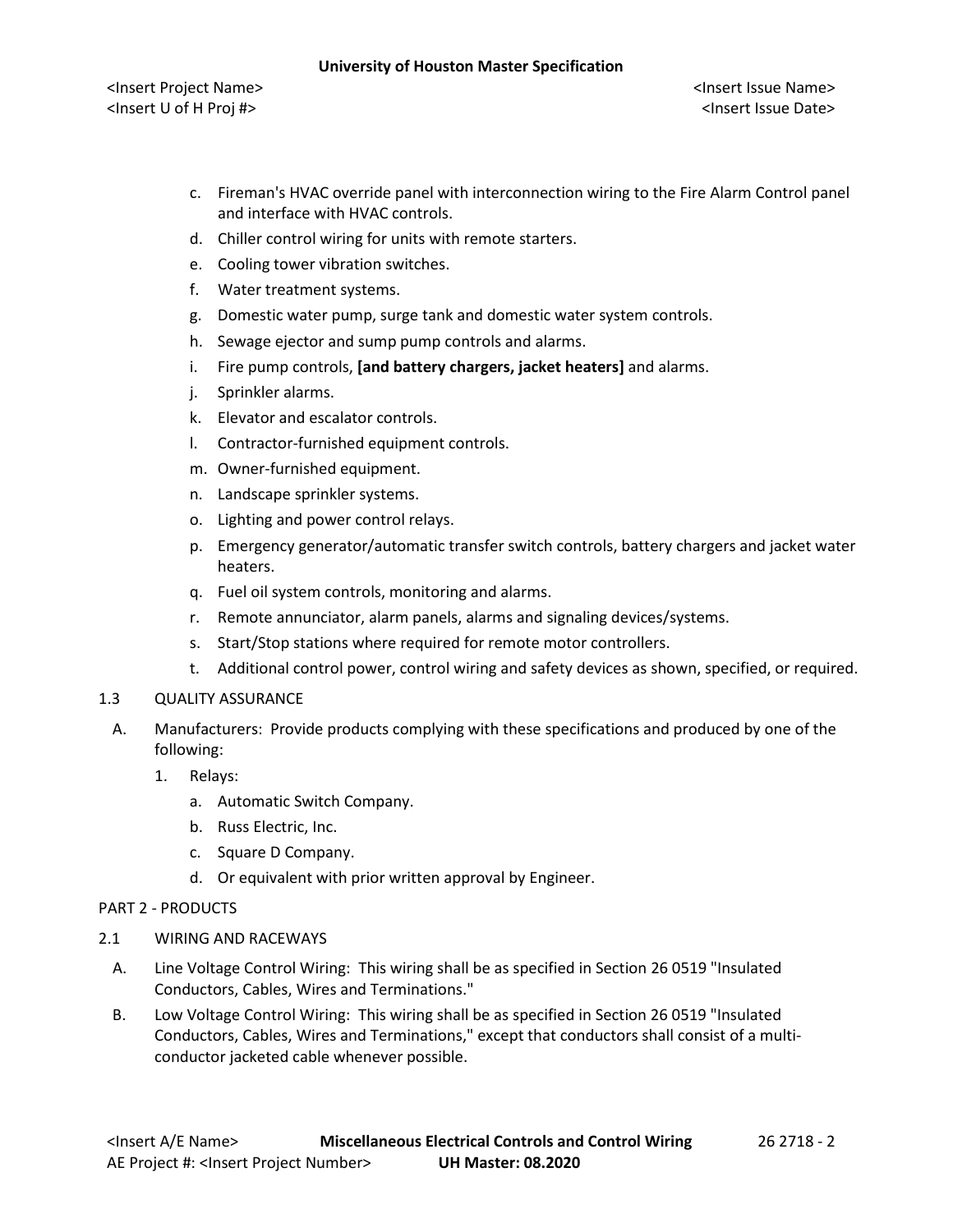### **University of Houston Master Specification**

<Insert Project Name> <Insert Issue Name> <Insert U of H Proj #> <Insert Issue Date>

- c. Fireman's HVAC override panel with interconnection wiring to the Fire Alarm Control panel and interface with HVAC controls.
- d. Chiller control wiring for units with remote starters.
- e. Cooling tower vibration switches.
- f. Water treatment systems.
- g. Domestic water pump, surge tank and domestic water system controls.
- h. Sewage ejector and sump pump controls and alarms.
- i. Fire pump controls, **[and battery chargers, jacket heaters]** and alarms.
- j. Sprinkler alarms.
- k. Elevator and escalator controls.
- l. Contractor-furnished equipment controls.
- m. Owner-furnished equipment.
- n. Landscape sprinkler systems.
- o. Lighting and power control relays.
- p. Emergency generator/automatic transfer switch controls, battery chargers and jacket water heaters.
- q. Fuel oil system controls, monitoring and alarms.
- r. Remote annunciator, alarm panels, alarms and signaling devices/systems.
- s. Start/Stop stations where required for remote motor controllers.
- t. Additional control power, control wiring and safety devices as shown, specified, or required.

# 1.3 QUALITY ASSURANCE

- A. Manufacturers: Provide products complying with these specifications and produced by one of the following:
	- 1. Relays:
		- a. Automatic Switch Company.
		- b. Russ Electric, Inc.
		- c. Square D Company.
		- d. Or equivalent with prior written approval by Engineer.

# PART 2 - PRODUCTS

- 2.1 WIRING AND RACEWAYS
	- A. Line Voltage Control Wiring: This wiring shall be as specified in Section 26 0519 "Insulated Conductors, Cables, Wires and Terminations."
	- B. Low Voltage Control Wiring: This wiring shall be as specified in Section 26 0519 "Insulated Conductors, Cables, Wires and Terminations," except that conductors shall consist of a multiconductor jacketed cable whenever possible.